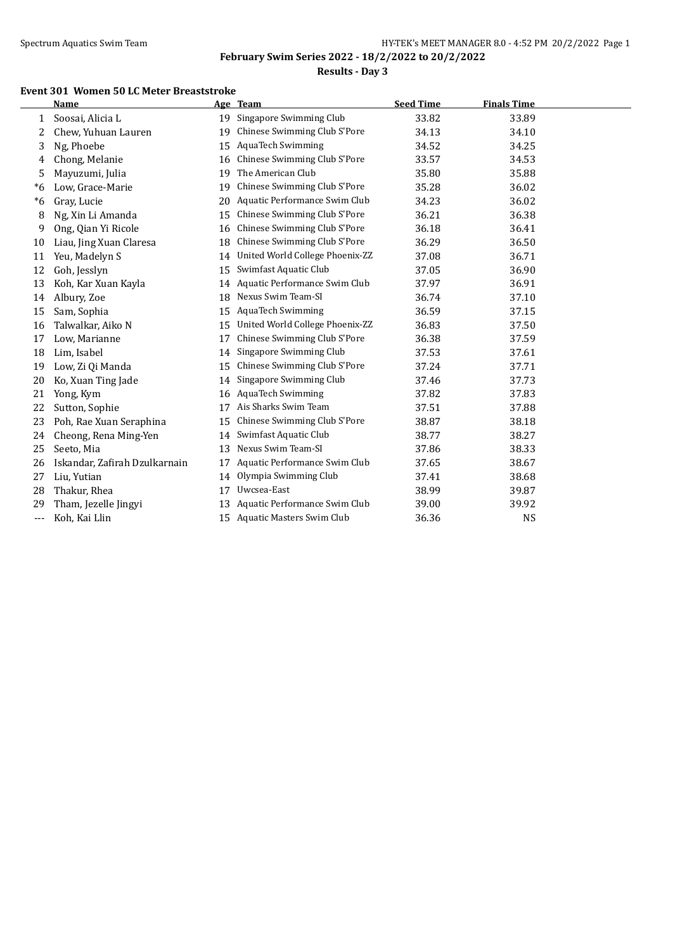l.

**February Swim Series 2022 - 18/2/2022 to 20/2/2022**

**Results - Day 3**

#### **Event 301 Women 50 LC Meter Breaststroke**

|     | <b>Name</b>                   |    | Age Team                         | <b>Seed Time</b> | <b>Finals Time</b> |  |
|-----|-------------------------------|----|----------------------------------|------------------|--------------------|--|
| 1   | Soosai, Alicia L              | 19 | Singapore Swimming Club          | 33.82            | 33.89              |  |
| 2   | Chew, Yuhuan Lauren           | 19 | Chinese Swimming Club S'Pore     | 34.13            | 34.10              |  |
| 3   | Ng, Phoebe                    | 15 | <b>AquaTech Swimming</b>         | 34.52            | 34.25              |  |
| 4   | Chong, Melanie                | 16 | Chinese Swimming Club S'Pore     | 33.57            | 34.53              |  |
| 5   | Mayuzumi, Julia               | 19 | The American Club                | 35.80            | 35.88              |  |
| *6  | Low, Grace-Marie              | 19 | Chinese Swimming Club S'Pore     | 35.28            | 36.02              |  |
| *6  | Gray, Lucie                   | 20 | Aquatic Performance Swim Club    | 34.23            | 36.02              |  |
| 8   | Ng, Xin Li Amanda             | 15 | Chinese Swimming Club S'Pore     | 36.21            | 36.38              |  |
| 9   | Ong, Qian Yi Ricole           | 16 | Chinese Swimming Club S'Pore     | 36.18            | 36.41              |  |
| 10  | Liau, Jing Xuan Claresa       | 18 | Chinese Swimming Club S'Pore     | 36.29            | 36.50              |  |
| 11  | Yeu, Madelyn S                | 14 | United World College Phoenix-ZZ  | 37.08            | 36.71              |  |
| 12  | Goh, Jesslyn                  | 15 | Swimfast Aquatic Club            | 37.05            | 36.90              |  |
| 13  | Koh, Kar Xuan Kayla           | 14 | Aquatic Performance Swim Club    | 37.97            | 36.91              |  |
| 14  | Albury, Zoe                   | 18 | Nexus Swim Team-SI               | 36.74            | 37.10              |  |
| 15  | Sam, Sophia                   | 15 | <b>AquaTech Swimming</b>         | 36.59            | 37.15              |  |
| 16  | Talwalkar, Aiko N             | 15 | United World College Phoenix-ZZ  | 36.83            | 37.50              |  |
| 17  | Low, Marianne                 | 17 | Chinese Swimming Club S'Pore     | 36.38            | 37.59              |  |
| 18  | Lim, Isabel                   | 14 | Singapore Swimming Club          | 37.53            | 37.61              |  |
| 19  | Low, Zi Qi Manda              | 15 | Chinese Swimming Club S'Pore     | 37.24            | 37.71              |  |
| 20  | Ko, Xuan Ting Jade            | 14 | Singapore Swimming Club          | 37.46            | 37.73              |  |
| 21  | Yong, Kym                     | 16 | <b>AquaTech Swimming</b>         | 37.82            | 37.83              |  |
| 22  | Sutton, Sophie                | 17 | Ais Sharks Swim Team             | 37.51            | 37.88              |  |
| 23  | Poh, Rae Xuan Seraphina       | 15 | Chinese Swimming Club S'Pore     | 38.87            | 38.18              |  |
| 24  | Cheong, Rena Ming-Yen         | 14 | Swimfast Aquatic Club            | 38.77            | 38.27              |  |
| 25  | Seeto, Mia                    | 13 | Nexus Swim Team-SI               | 37.86            | 38.33              |  |
| 26  | Iskandar, Zafirah Dzulkarnain | 17 | Aquatic Performance Swim Club    | 37.65            | 38.67              |  |
| 27  | Liu, Yutian                   | 14 | Olympia Swimming Club            | 37.41            | 38.68              |  |
| 28  | Thakur, Rhea                  | 17 | Uwcsea-East                      | 38.99            | 39.87              |  |
| 29  | Tham, Jezelle Jingyi          | 13 | Aquatic Performance Swim Club    | 39.00            | 39.92              |  |
| --- | Koh, Kai Llin                 | 15 | <b>Aquatic Masters Swim Club</b> | 36.36            | <b>NS</b>          |  |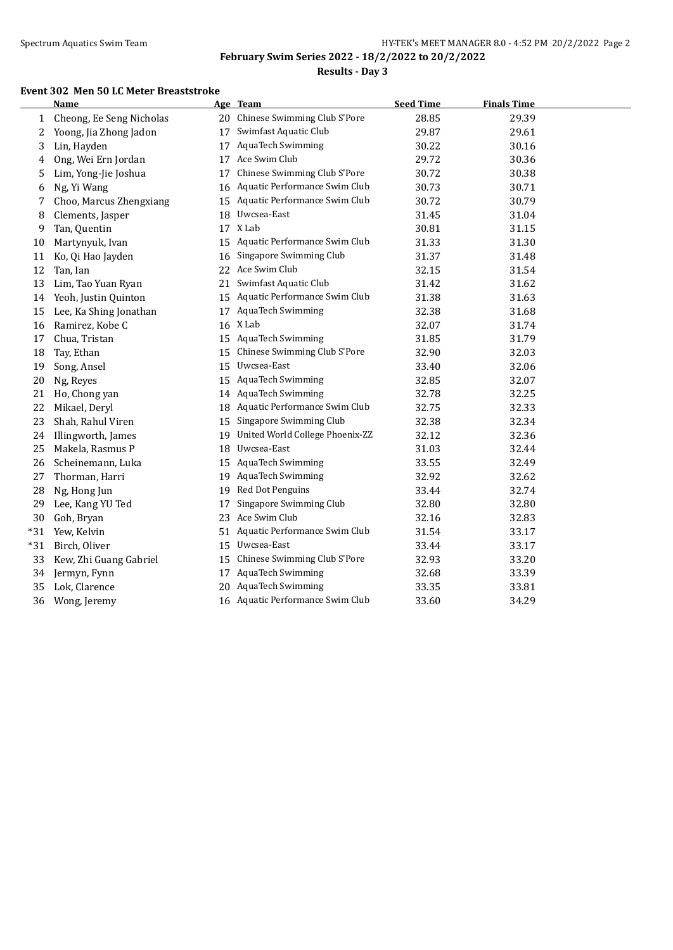**Results - Day 3**

#### **Event 302 Men 50 LC Meter Breaststroke**

|              | <b>Name</b>              |    | Age Team                         | <b>Seed Time</b> | <b>Finals Time</b> |  |
|--------------|--------------------------|----|----------------------------------|------------------|--------------------|--|
| $\mathbf{1}$ | Cheong, Ee Seng Nicholas |    | 20 Chinese Swimming Club S'Pore  | 28.85            | 29.39              |  |
| 2            | Yoong, Jia Zhong Jadon   | 17 | Swimfast Aquatic Club            | 29.87            | 29.61              |  |
| 3            | Lin, Hayden              |    | 17 AquaTech Swimming             | 30.22            | 30.16              |  |
| 4            | Ong, Wei Ern Jordan      | 17 | Ace Swim Club                    | 29.72            | 30.36              |  |
| 5            | Lim, Yong-Jie Joshua     | 17 | Chinese Swimming Club S'Pore     | 30.72            | 30.38              |  |
| 6            | Ng, Yi Wang              | 16 | Aquatic Performance Swim Club    | 30.73            | 30.71              |  |
| 7            | Choo, Marcus Zhengxiang  | 15 | Aquatic Performance Swim Club    | 30.72            | 30.79              |  |
| 8            | Clements, Jasper         | 18 | Uwcsea-East                      | 31.45            | 31.04              |  |
| 9            | Tan, Quentin             |    | 17 X Lab                         | 30.81            | 31.15              |  |
| 10           | Martynyuk, Ivan          | 15 | Aquatic Performance Swim Club    | 31.33            | 31.30              |  |
| 11           | Ko, Qi Hao Jayden        | 16 | Singapore Swimming Club          | 31.37            | 31.48              |  |
| 12           | Tan, Ian                 | 22 | Ace Swim Club                    | 32.15            | 31.54              |  |
| 13           | Lim, Tao Yuan Ryan       | 21 | Swimfast Aquatic Club            | 31.42            | 31.62              |  |
| 14           | Yeoh, Justin Quinton     | 15 | Aquatic Performance Swim Club    | 31.38            | 31.63              |  |
| 15           | Lee, Ka Shing Jonathan   | 17 | AquaTech Swimming                | 32.38            | 31.68              |  |
| 16           | Ramirez, Kobe C          |    | 16 X Lab                         | 32.07            | 31.74              |  |
| 17           | Chua, Tristan            | 15 | AquaTech Swimming                | 31.85            | 31.79              |  |
| 18           | Tay, Ethan               | 15 | Chinese Swimming Club S'Pore     | 32.90            | 32.03              |  |
| 19           | Song, Ansel              | 15 | Uwcsea-East                      | 33.40            | 32.06              |  |
| 20           | Ng, Reyes                | 15 | <b>AquaTech Swimming</b>         | 32.85            | 32.07              |  |
| 21           | Ho, Chong yan            |    | 14 AquaTech Swimming             | 32.78            | 32.25              |  |
| 22           | Mikael, Deryl            | 18 | Aquatic Performance Swim Club    | 32.75            | 32.33              |  |
| 23           | Shah, Rahul Viren        | 15 | Singapore Swimming Club          | 32.38            | 32.34              |  |
| 24           | Illingworth, James       | 19 | United World College Phoenix-ZZ  | 32.12            | 32.36              |  |
| 25           | Makela, Rasmus P         | 18 | Uwcsea-East                      | 31.03            | 32.44              |  |
| 26           | Scheinemann, Luka        |    | 15 AquaTech Swimming             | 33.55            | 32.49              |  |
| 27           | Thorman, Harri           | 19 | <b>AquaTech Swimming</b>         | 32.92            | 32.62              |  |
| 28           | Ng, Hong Jun             | 19 | Red Dot Penguins                 | 33.44            | 32.74              |  |
| 29           | Lee, Kang YU Ted         | 17 | Singapore Swimming Club          | 32.80            | 32.80              |  |
| 30           | Goh, Bryan               | 23 | Ace Swim Club                    | 32.16            | 32.83              |  |
| $*31$        | Yew, Kelvin              | 51 | Aquatic Performance Swim Club    | 31.54            | 33.17              |  |
| $*31$        | Birch, Oliver            | 15 | Uwcsea-East                      | 33.44            | 33.17              |  |
| 33           | Kew, Zhi Guang Gabriel   | 15 | Chinese Swimming Club S'Pore     | 32.93            | 33.20              |  |
| 34           | Jermyn, Fynn             |    | 17 AquaTech Swimming             | 32.68            | 33.39              |  |
| 35           | Lok, Clarence            | 20 | <b>AquaTech Swimming</b>         | 33.35            | 33.81              |  |
| 36           | Wong, Jeremy             |    | 16 Aquatic Performance Swim Club | 33.60            | 34.29              |  |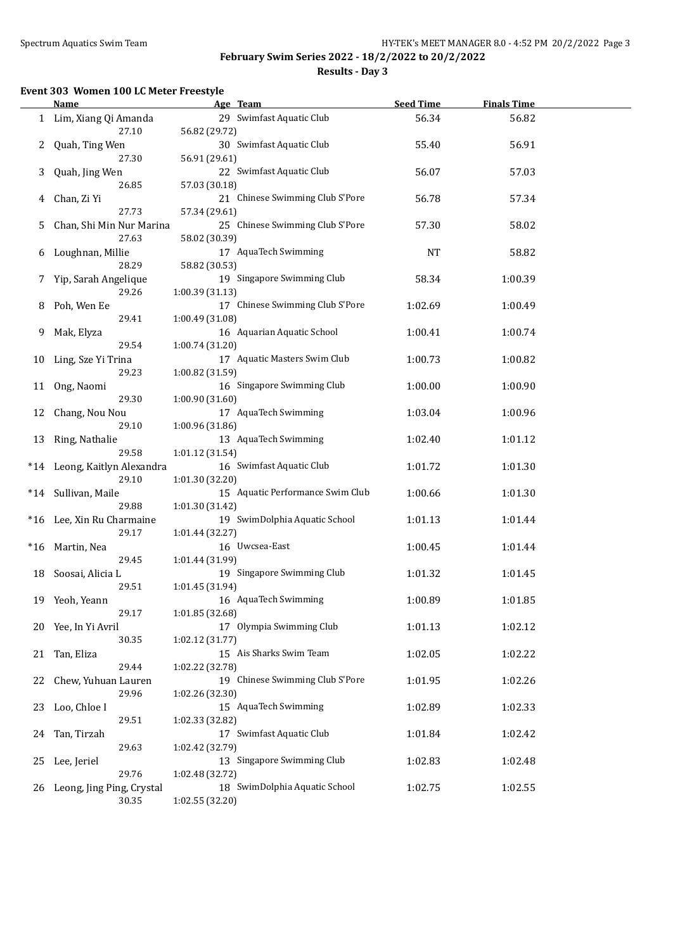$\overline{a}$ 

### **February Swim Series 2022 - 18/2/2022 to 20/2/2022 Results - Day 3**

#### **Event 303 Women 100 LC Meter Freestyle**

|    | <b>Name</b>                  | Age Team                         | <b>Seed Time</b> | <b>Finals Time</b> |  |
|----|------------------------------|----------------------------------|------------------|--------------------|--|
|    | Lim, Xiang Qi Amanda         | 29 Swimfast Aquatic Club         | 56.34            | 56.82              |  |
|    | 27.10                        | 56.82 (29.72)                    |                  |                    |  |
| 2  | Quah, Ting Wen               | 30 Swimfast Aquatic Club         | 55.40            | 56.91              |  |
|    | 27.30                        | 56.91 (29.61)                    |                  |                    |  |
| 3  | Quah, Jing Wen               | 22 Swimfast Aquatic Club         | 56.07            | 57.03              |  |
|    | 26.85                        | 57.03 (30.18)                    |                  |                    |  |
| 4  | Chan, Zi Yi                  | 21 Chinese Swimming Club S'Pore  | 56.78            | 57.34              |  |
|    | 27.73                        | 57.34 (29.61)                    |                  |                    |  |
| 5  | Chan, Shi Min Nur Marina     | 25 Chinese Swimming Club S'Pore  | 57.30            | 58.02              |  |
|    | 27.63                        | 58.02 (30.39)                    |                  |                    |  |
| 6  | Loughnan, Millie             | 17 AquaTech Swimming             | NT               | 58.82              |  |
|    | 28.29                        | 58.82 (30.53)                    |                  |                    |  |
| 7  | Yip, Sarah Angelique         | 19 Singapore Swimming Club       | 58.34            | 1:00.39            |  |
|    | 29.26                        | 1:00.39 (31.13)                  |                  |                    |  |
| 8  | Poh, Wen Ee                  | 17 Chinese Swimming Club S'Pore  | 1:02.69          | 1:00.49            |  |
|    | 29.41                        | 1:00.49 (31.08)                  |                  |                    |  |
| 9  | Mak, Elyza                   | 16 Aquarian Aquatic School       | 1:00.41          | 1:00.74            |  |
|    | 29.54                        | 1:00.74 (31.20)                  |                  |                    |  |
| 10 | Ling, Sze Yi Trina           | 17 Aquatic Masters Swim Club     | 1:00.73          | 1:00.82            |  |
|    | 29.23                        | 1:00.82 (31.59)                  |                  |                    |  |
| 11 | Ong, Naomi                   | 16 Singapore Swimming Club       | 1:00.00          | 1:00.90            |  |
|    | 29.30                        | 1:00.90 (31.60)                  |                  |                    |  |
| 12 | Chang, Nou Nou               | 17 AquaTech Swimming             | 1:03.04          | 1:00.96            |  |
|    | 29.10                        | 1:00.96 (31.86)                  |                  |                    |  |
|    | 13 Ring, Nathalie            | 13 AquaTech Swimming             | 1:02.40          | 1:01.12            |  |
|    | 29.58                        | 1:01.12 (31.54)                  |                  |                    |  |
|    | *14 Leong, Kaitlyn Alexandra | 16 Swimfast Aquatic Club         | 1:01.72          | 1:01.30            |  |
|    | 29.10                        | 1:01.30 (32.20)                  |                  |                    |  |
|    | *14 Sullivan, Maile          | 15 Aquatic Performance Swim Club | 1:00.66          | 1:01.30            |  |
|    | 29.88                        | 1:01.30 (31.42)                  |                  |                    |  |
|    | *16 Lee, Xin Ru Charmaine    | 19 SwimDolphia Aquatic School    | 1:01.13          | 1:01.44            |  |
|    | 29.17                        | 1:01.44 (32.27)                  |                  |                    |  |
|    | *16 Martin, Nea              | 16 Uwcsea-East                   | 1:00.45          | 1:01.44            |  |
|    | 29.45                        | 1:01.44 (31.99)                  |                  |                    |  |
|    | 18 Soosai, Alicia L          | 19 Singapore Swimming Club       | 1:01.32          | 1:01.45            |  |
|    | 29.51                        | 1:01.45 (31.94)                  |                  |                    |  |
|    | 19 Yeoh, Yeann               | 16 AquaTech Swimming             | 1:00.89          | 1:01.85            |  |
|    | 29.17                        | 1:01.85 (32.68)                  |                  |                    |  |
| 20 | Yee, In Yi Avril             | 17 Olympia Swimming Club         | 1:01.13          | 1:02.12            |  |
|    | 30.35                        | 1:02.12 (31.77)                  |                  |                    |  |
| 21 | Tan, Eliza                   | 15 Ais Sharks Swim Team          | 1:02.05          | 1:02.22            |  |
|    | 29.44                        | 1:02.22 (32.78)                  |                  |                    |  |
| 22 | Chew, Yuhuan Lauren          | 19 Chinese Swimming Club S'Pore  | 1:01.95          | 1:02.26            |  |
|    | 29.96                        | 1:02.26 (32.30)                  |                  |                    |  |
| 23 | Loo, Chloe I                 | 15 AquaTech Swimming             | 1:02.89          | 1:02.33            |  |
|    | 29.51                        | 1:02.33 (32.82)                  |                  |                    |  |
| 24 | Tan, Tirzah                  | 17 Swimfast Aquatic Club         | 1:01.84          | 1:02.42            |  |
|    | 29.63                        | 1:02.42 (32.79)                  |                  |                    |  |
| 25 | Lee, Jeriel                  | 13 Singapore Swimming Club       | 1:02.83          | 1:02.48            |  |
|    | 29.76                        | 1:02.48 (32.72)                  |                  |                    |  |
| 26 | Leong, Jing Ping, Crystal    | 18 SwimDolphia Aquatic School    | 1:02.75          | 1:02.55            |  |
|    | 30.35                        | 1:02.55 (32.20)                  |                  |                    |  |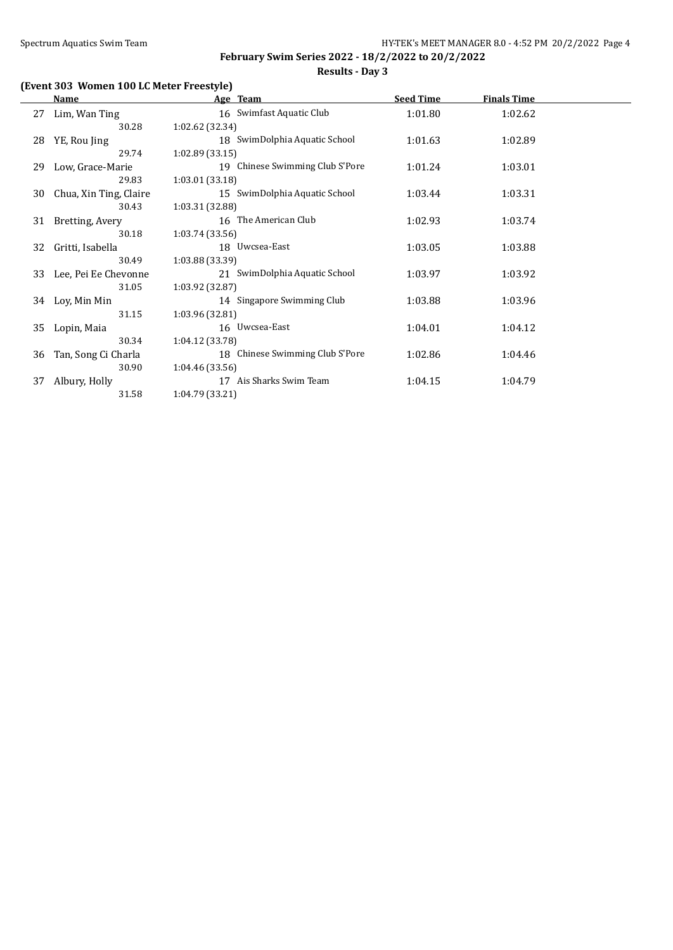# **(Event 303 Women 100 LC Meter Freestyle)**

|    | Name                   | Age Team                        | <b>Seed Time</b> | <b>Finals Time</b> |  |
|----|------------------------|---------------------------------|------------------|--------------------|--|
| 27 | Lim, Wan Ting          | 16 Swimfast Aquatic Club        | 1:01.80          | 1:02.62            |  |
|    | 30.28                  | 1:02.62 (32.34)                 |                  |                    |  |
| 28 | YE, Rou Jing           | 18 SwimDolphia Aquatic School   | 1:01.63          | 1:02.89            |  |
|    | 29.74                  | 1:02.89(33.15)                  |                  |                    |  |
| 29 | Low, Grace-Marie       | 19 Chinese Swimming Club S'Pore | 1:01.24          | 1:03.01            |  |
|    | 29.83                  | 1:03.01(33.18)                  |                  |                    |  |
| 30 | Chua, Xin Ting, Claire | 15 SwimDolphia Aquatic School   | 1:03.44          | 1:03.31            |  |
|    | 30.43                  | 1:03.31 (32.88)                 |                  |                    |  |
| 31 | Bretting, Avery        | 16 The American Club            | 1:02.93          | 1:03.74            |  |
|    | 30.18                  | 1:03.74(33.56)                  |                  |                    |  |
| 32 | Gritti, Isabella       | 18 Uwcsea-East                  | 1:03.05          | 1:03.88            |  |
|    | 30.49                  | 1:03.88 (33.39)                 |                  |                    |  |
| 33 | Lee, Pei Ee Chevonne   | 21 SwimDolphia Aquatic School   | 1:03.97          | 1:03.92            |  |
|    | 31.05                  | 1:03.92 (32.87)                 |                  |                    |  |
| 34 | Loy, Min Min           | 14 Singapore Swimming Club      | 1:03.88          | 1:03.96            |  |
|    | 31.15                  | 1:03.96 (32.81)                 |                  |                    |  |
| 35 | Lopin, Maia            | 16 Uwcsea-East                  | 1:04.01          | 1:04.12            |  |
|    | 30.34                  | 1:04.12 (33.78)                 |                  |                    |  |
| 36 | Tan, Song Ci Charla    | 18 Chinese Swimming Club S'Pore | 1:02.86          | 1:04.46            |  |
|    | 30.90                  | 1:04.46(33.56)                  |                  |                    |  |
| 37 | Albury, Holly          | 17 Ais Sharks Swim Team         | 1:04.15          | 1:04.79            |  |
|    | 31.58                  | 1:04.79 (33.21)                 |                  |                    |  |
|    |                        |                                 |                  |                    |  |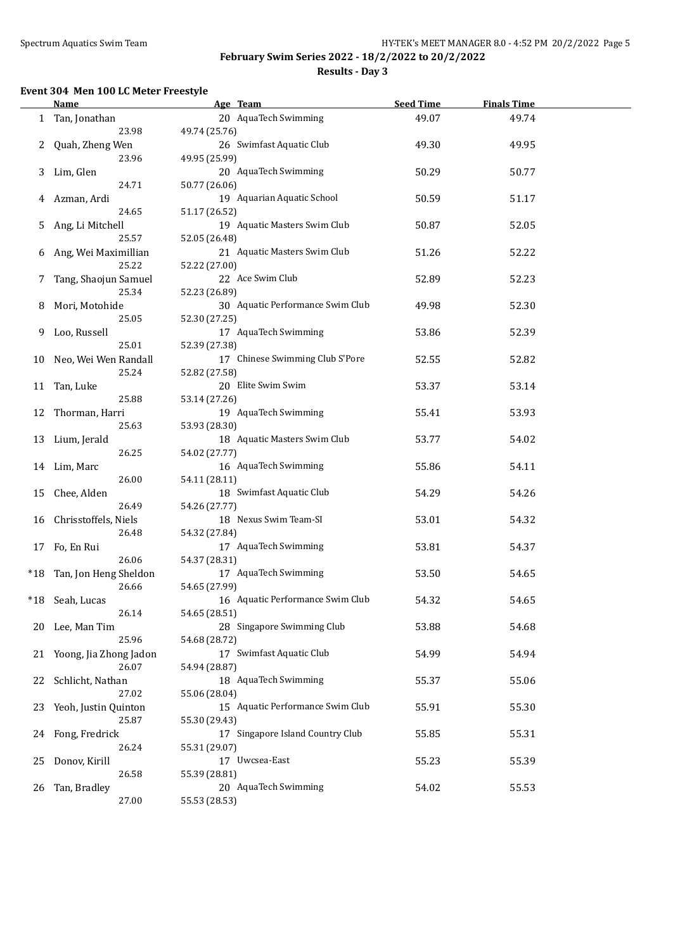l.

### **February Swim Series 2022 - 18/2/2022 to 20/2/2022 Results - Day 3**

#### **Event 304 Men 100 LC Meter Freestyle**

|       | <b>Name</b>            | Age Team                         | <b>Seed Time</b> | <b>Finals Time</b> |  |
|-------|------------------------|----------------------------------|------------------|--------------------|--|
|       | 1 Tan, Jonathan        | 20 AquaTech Swimming             | 49.07            | 49.74              |  |
|       | 23.98                  | 49.74 (25.76)                    |                  |                    |  |
| 2     | Quah, Zheng Wen        | 26 Swimfast Aquatic Club         | 49.30            | 49.95              |  |
|       | 23.96                  | 49.95 (25.99)                    |                  |                    |  |
|       |                        |                                  |                  |                    |  |
| 3     | Lim, Glen              | 20 AquaTech Swimming             | 50.29            | 50.77              |  |
|       | 24.71                  | 50.77 (26.06)                    |                  |                    |  |
| 4     | Azman, Ardi            | 19 Aquarian Aquatic School       | 50.59            | 51.17              |  |
|       | 24.65                  | 51.17 (26.52)                    |                  |                    |  |
| 5.    | Ang, Li Mitchell       | 19 Aquatic Masters Swim Club     | 50.87            | 52.05              |  |
|       | 25.57                  | 52.05 (26.48)                    |                  |                    |  |
| 6     | Ang, Wei Maximillian   | 21 Aquatic Masters Swim Club     | 51.26            | 52.22              |  |
|       | 25.22                  | 52.22 (27.00)                    |                  |                    |  |
| 7     | Tang, Shaojun Samuel   | 22 Ace Swim Club                 | 52.89            | 52.23              |  |
|       | 25.34                  | 52.23 (26.89)                    |                  |                    |  |
| 8     | Mori, Motohide         | 30 Aquatic Performance Swim Club | 49.98            | 52.30              |  |
|       | 25.05                  | 52.30 (27.25)                    |                  |                    |  |
| 9     | Loo, Russell           | 17 AquaTech Swimming             | 53.86            | 52.39              |  |
|       | 25.01                  | 52.39 (27.38)                    |                  |                    |  |
| 10    | Neo, Wei Wen Randall   | 17 Chinese Swimming Club S'Pore  | 52.55            | 52.82              |  |
|       | 25.24                  | 52.82 (27.58)                    |                  |                    |  |
|       |                        | 20 Elite Swim Swim               | 53.37            |                    |  |
| 11    | Tan, Luke              |                                  |                  | 53.14              |  |
|       | 25.88                  | 53.14 (27.26)                    |                  |                    |  |
| 12    | Thorman, Harri         | 19 AquaTech Swimming             | 55.41            | 53.93              |  |
|       | 25.63                  | 53.93 (28.30)                    |                  |                    |  |
| 13    | Lium, Jerald           | 18 Aquatic Masters Swim Club     | 53.77            | 54.02              |  |
|       | 26.25                  | 54.02 (27.77)                    |                  |                    |  |
|       | 14 Lim, Marc           | 16 AquaTech Swimming             | 55.86            | 54.11              |  |
|       | 26.00                  | 54.11 (28.11)                    |                  |                    |  |
| 15    | Chee, Alden            | 18 Swimfast Aquatic Club         | 54.29            | 54.26              |  |
|       | 26.49                  | 54.26 (27.77)                    |                  |                    |  |
| 16    | Chrisstoffels, Niels   | 18 Nexus Swim Team-SI            | 53.01            | 54.32              |  |
|       | 26.48                  | 54.32 (27.84)                    |                  |                    |  |
| 17    | Fo, En Rui             | 17 AquaTech Swimming             | 53.81            | 54.37              |  |
|       | 26.06                  | 54.37 (28.31)                    |                  |                    |  |
| $*18$ | Tan, Jon Heng Sheldon  | 17 AquaTech Swimming             | 53.50            | 54.65              |  |
|       | 26.66                  | 54.65 (27.99)                    |                  |                    |  |
| $*18$ | Seah, Lucas            | 16 Aquatic Performance Swim Club | 54.32            | 54.65              |  |
|       | 26.14                  | 54.65 (28.51)                    |                  |                    |  |
| 20    | Lee, Man Tim           | 28 Singapore Swimming Club       | 53.88            | 54.68              |  |
|       | 25.96                  | 54.68 (28.72)                    |                  |                    |  |
| 21    | Yoong, Jia Zhong Jadon | 17 Swimfast Aquatic Club         | 54.99            | 54.94              |  |
|       | 26.07                  | 54.94 (28.87)                    |                  |                    |  |
|       |                        | 18 AquaTech Swimming             |                  |                    |  |
| 22    | Schlicht, Nathan       |                                  | 55.37            | 55.06              |  |
|       | 27.02                  | 55.06 (28.04)                    |                  |                    |  |
| 23    | Yeoh, Justin Quinton   | 15 Aquatic Performance Swim Club | 55.91            | 55.30              |  |
|       | 25.87                  | 55.30 (29.43)                    |                  |                    |  |
| 24    | Fong, Fredrick         | 17 Singapore Island Country Club | 55.85            | 55.31              |  |
|       | 26.24                  | 55.31 (29.07)                    |                  |                    |  |
| 25    | Donov, Kirill          | 17 Uwcsea-East                   | 55.23            | 55.39              |  |
|       | 26.58                  | 55.39 (28.81)                    |                  |                    |  |
| 26    | Tan, Bradley           | 20 AquaTech Swimming             | 54.02            | 55.53              |  |
|       | 27.00                  | 55.53 (28.53)                    |                  |                    |  |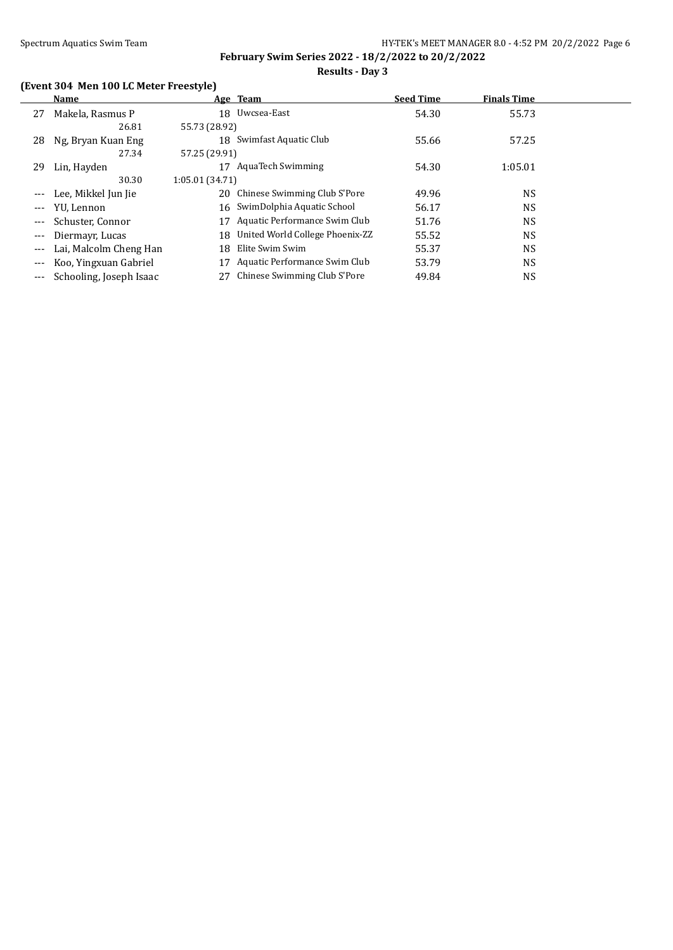# **(Event 304 Men 100 LC Meter Freestyle)**

|       | Name                    |                | Age Team                        | <b>Seed Time</b> | <b>Finals Time</b> |  |
|-------|-------------------------|----------------|---------------------------------|------------------|--------------------|--|
| 27    | Makela, Rasmus P        |                | 18 Uwcsea-East                  | 54.30            | 55.73              |  |
|       | 26.81                   | 55.73 (28.92)  |                                 |                  |                    |  |
| 28    | Ng, Bryan Kuan Eng      |                | 18 Swimfast Aquatic Club        | 55.66            | 57.25              |  |
|       | 27.34                   | 57.25 (29.91)  |                                 |                  |                    |  |
| 29    | Lin, Hayden             | 17             | <b>AquaTech Swimming</b>        | 54.30            | 1:05.01            |  |
|       | 30.30                   | 1:05.01(34.71) |                                 |                  |                    |  |
|       | Lee, Mikkel Jun Jie     | 20             | Chinese Swimming Club S'Pore    | 49.96            | <b>NS</b>          |  |
| $---$ | YU, Lennon              |                | 16 SwimDolphia Aquatic School   | 56.17            | <b>NS</b>          |  |
| $---$ | Schuster, Connor        | 17             | Aquatic Performance Swim Club   | 51.76            | <b>NS</b>          |  |
| $---$ | Diermayr, Lucas         | 18             | United World College Phoenix-ZZ | 55.52            | <b>NS</b>          |  |
| $---$ | Lai, Malcolm Cheng Han  | 18             | Elite Swim Swim                 | 55.37            | <b>NS</b>          |  |
|       | Koo, Yingxuan Gabriel   |                | Aquatic Performance Swim Club   | 53.79            | <b>NS</b>          |  |
| $---$ | Schooling, Joseph Isaac |                | Chinese Swimming Club S'Pore    | 49.84            | <b>NS</b>          |  |
|       |                         |                |                                 |                  |                    |  |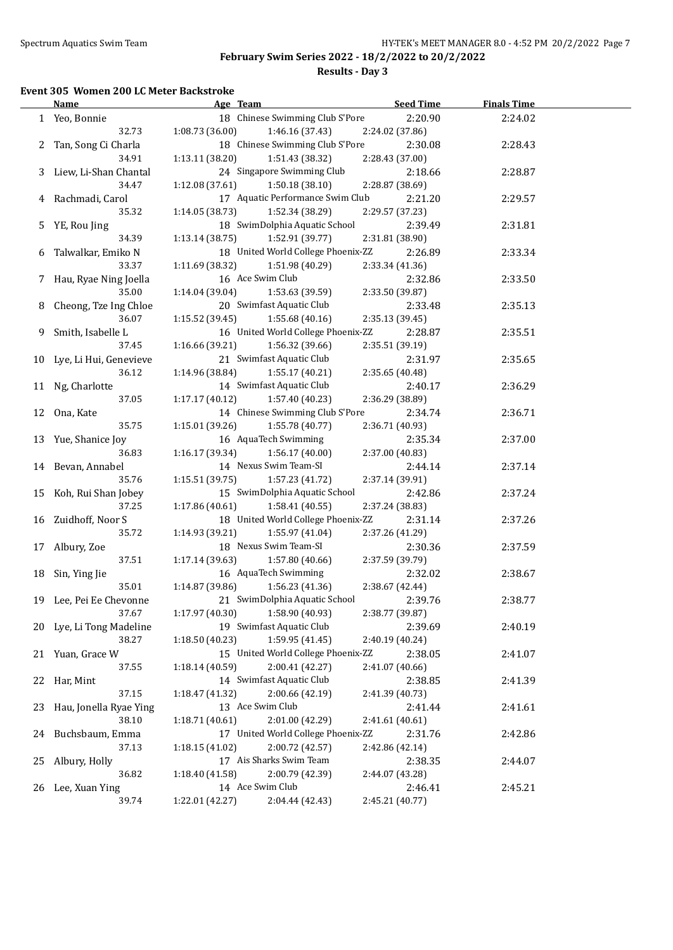#### **Event 305 Women 200 LC Meter Backstroke**

|    | <b>Name</b>               | Age Team                                                                | <b>Seed Time</b> | <b>Finals Time</b> |  |
|----|---------------------------|-------------------------------------------------------------------------|------------------|--------------------|--|
|    | 1 Yeo, Bonnie             | 18 Chinese Swimming Club S'Pore                                         | 2:20.90          | 2:24.02            |  |
|    | 32.73                     | 1:08.73(36.00)<br>1:46.16 (37.43)                                       | 2:24.02 (37.86)  |                    |  |
|    | 2 Tan, Song Ci Charla     | 18 Chinese Swimming Club S'Pore                                         | 2:30.08          | 2:28.43            |  |
|    | 34.91                     | 1:13.11(38.20)<br>1:51.43 (38.32)                                       | 2:28.43 (37.00)  |                    |  |
|    | 3 Liew, Li-Shan Chantal   | 24 Singapore Swimming Club                                              | 2:18.66          | 2:28.87            |  |
|    | 34.47                     | 1:12.08 (37.61)<br>1:50.18 (38.10)                                      | 2:28.87 (38.69)  |                    |  |
|    | 4 Rachmadi, Carol         | 17 Aquatic Performance Swim Club                                        | 2:21.20          | 2:29.57            |  |
|    | 35.32                     | 1:14.05 (38.73)<br>1:52.34 (38.29)                                      | 2:29.57 (37.23)  |                    |  |
|    | YE, Rou Jing              | 18 SwimDolphia Aquatic School                                           | 2:39.49          | 2:31.81            |  |
| 5. | 34.39                     |                                                                         |                  |                    |  |
|    |                           | 1:13.14(38.75)<br>1:52.91 (39.77)<br>18 United World College Phoenix-ZZ | 2:31.81 (38.90)  |                    |  |
| 6  | Talwalkar, Emiko N        |                                                                         | 2:26.89          | 2:33.34            |  |
|    | 33.37                     | 1:11.69 (38.32)<br>1:51.98 (40.29)                                      | 2:33.34 (41.36)  |                    |  |
|    | 7 Hau, Ryae Ning Joella   | 16 Ace Swim Club                                                        | 2:32.86          | 2:33.50            |  |
|    | 35.00                     | 1:53.63 (39.59)<br>1:14.04 (39.04)                                      | 2:33.50 (39.87)  |                    |  |
| 8  | Cheong, Tze Ing Chloe     | 20 Swimfast Aquatic Club                                                | 2:33.48          | 2:35.13            |  |
|    | 36.07                     | 1:55.68(40.16)<br>1:15.52(39.45)                                        | 2:35.13 (39.45)  |                    |  |
| 9  | Smith, Isabelle L         | 16 United World College Phoenix-ZZ                                      | 2:28.87          | 2:35.51            |  |
|    | 37.45                     | 1:16.66 (39.21)<br>1:56.32 (39.66)                                      | 2:35.51 (39.19)  |                    |  |
|    | 10 Lye, Li Hui, Genevieve | 21 Swimfast Aquatic Club                                                | 2:31.97          | 2:35.65            |  |
|    | 36.12                     | 1:14.96 (38.84)<br>1:55.17 (40.21)                                      | 2:35.65 (40.48)  |                    |  |
|    | 11 Ng, Charlotte          | 14 Swimfast Aquatic Club                                                | 2:40.17          | 2:36.29            |  |
|    | 37.05                     | 1:17.17(40.12)<br>1:57.40 (40.23)                                       | 2:36.29 (38.89)  |                    |  |
|    | 12 Ona, Kate              | 14 Chinese Swimming Club S'Pore                                         | 2:34.74          | 2:36.71            |  |
|    | 35.75                     | 1:55.78 (40.77)<br>1:15.01(39.26)                                       | 2:36.71 (40.93)  |                    |  |
|    | 13 Yue, Shanice Joy       | 16 AquaTech Swimming                                                    | 2:35.34          | 2:37.00            |  |
|    | 36.83                     | 1:56.17 (40.00)<br>1:16.17(39.34)                                       | 2:37.00 (40.83)  |                    |  |
|    | 14 Bevan, Annabel         | 14 Nexus Swim Team-SI                                                   | 2:44.14          | 2:37.14            |  |
|    | 35.76                     | 1:15.51 (39.75)<br>1:57.23 (41.72)                                      | 2:37.14 (39.91)  |                    |  |
| 15 | Koh, Rui Shan Jobey       | 15 SwimDolphia Aquatic School                                           | 2:42.86          | 2:37.24            |  |
|    | 37.25                     | 1:17.86 (40.61)<br>1:58.41 (40.55)                                      | 2:37.24 (38.83)  |                    |  |
| 16 | Zuidhoff, Noor S          | 18 United World College Phoenix-ZZ                                      | 2:31.14          | 2:37.26            |  |
|    | 35.72                     | 1:14.93 (39.21)<br>1:55.97 (41.04)                                      | 2:37.26 (41.29)  |                    |  |
| 17 | Albury, Zoe               | 18 Nexus Swim Team-SI                                                   | 2:30.36          | 2:37.59            |  |
|    | 37.51                     | 1:17.14(39.63)<br>1:57.80 (40.66)                                       | 2:37.59 (39.79)  |                    |  |
|    |                           | 16 AquaTech Swimming                                                    | 2:32.02          |                    |  |
| 18 | Sin, Ying Jie<br>35.01    | 1:56.23(41.36)<br>1:14.87 (39.86)                                       | 2:38.67 (42.44)  | 2:38.67            |  |
|    |                           | 21 SwimDolphia Aquatic School                                           |                  |                    |  |
|    | 19 Lee, Pei Ee Chevonne   |                                                                         | 2:39.76          | 2:38.77            |  |
|    | 37.67                     | 1:58.90 (40.93)<br>1:17.97 (40.30)                                      | 2:38.77 (39.87)  |                    |  |
|    | 20 Lye, Li Tong Madeline  | 19 Swimfast Aquatic Club                                                | 2:39.69          | 2:40.19            |  |
|    | 38.27                     | 1:59.95 (41.45)<br>1:18.50 (40.23)                                      | 2:40.19 (40.24)  |                    |  |
| 21 | Yuan, Grace W             | 15 United World College Phoenix-ZZ                                      | 2:38.05          | 2:41.07            |  |
|    | 37.55                     | 2:00.41 (42.27)<br>1:18.14 (40.59)                                      | 2:41.07 (40.66)  |                    |  |
| 22 | Har, Mint                 | 14 Swimfast Aquatic Club                                                | 2:38.85          | 2:41.39            |  |
|    | 37.15                     | 1:18.47 (41.32)<br>2:00.66 (42.19)                                      | 2:41.39 (40.73)  |                    |  |
| 23 | Hau, Jonella Ryae Ying    | 13 Ace Swim Club                                                        | 2:41.44          | 2:41.61            |  |
|    | 38.10                     | 1:18.71 (40.61)<br>2:01.00 (42.29)                                      | 2:41.61 (40.61)  |                    |  |
| 24 | Buchsbaum, Emma           | 17 United World College Phoenix-ZZ                                      | 2:31.76          | 2:42.86            |  |
|    | 37.13                     | 2:00.72 (42.57)<br>1:18.15 (41.02)                                      | 2:42.86 (42.14)  |                    |  |
| 25 | Albury, Holly             | 17 Ais Sharks Swim Team                                                 | 2:38.35          | 2:44.07            |  |
|    | 36.82                     | 1:18.40 (41.58)<br>2:00.79 (42.39)                                      | 2:44.07 (43.28)  |                    |  |
| 26 | Lee, Xuan Ying            | 14 Ace Swim Club                                                        | 2:46.41          | 2:45.21            |  |
|    | 39.74                     | 1:22.01 (42.27)<br>2:04.44 (42.43)                                      | 2:45.21 (40.77)  |                    |  |
|    |                           |                                                                         |                  |                    |  |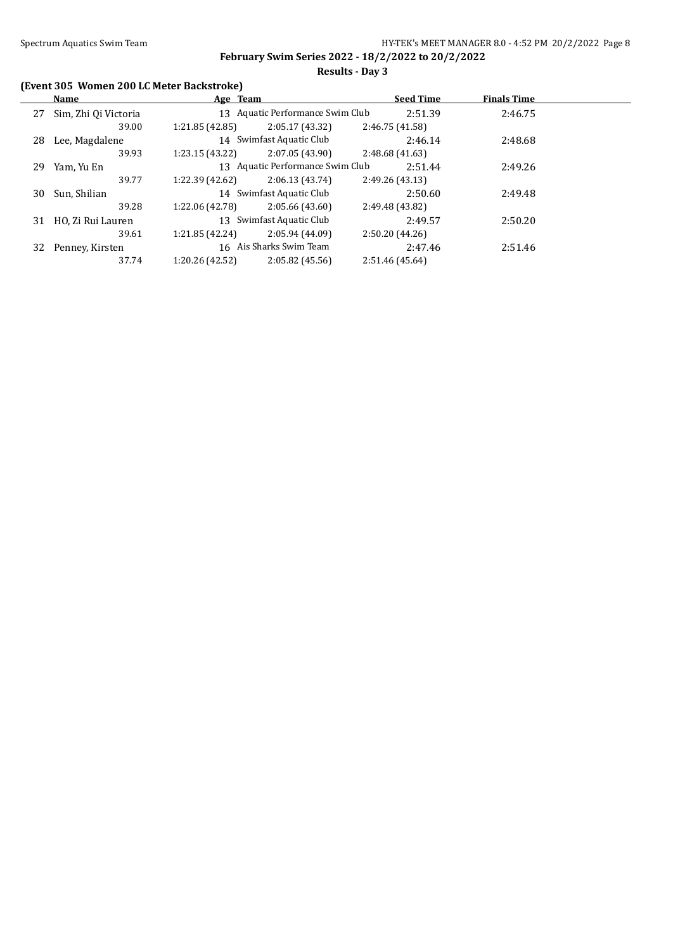**Results - Day 3**

# **(Event 305 Women 200 LC Meter Backstroke)**

|    | <b>Name</b>          | Age Team        |                                  | <b>Seed Time</b> | <b>Finals Time</b> |  |
|----|----------------------|-----------------|----------------------------------|------------------|--------------------|--|
| 27 | Sim, Zhi Qi Victoria |                 | 13 Aquatic Performance Swim Club | 2:51.39          | 2:46.75            |  |
|    | 39.00                | 1:21.85(42.85)  | 2:05.17(43.32)                   | 2:46.75 (41.58)  |                    |  |
| 28 | Lee, Magdalene       |                 | 14 Swimfast Aquatic Club         | 2:46.14          | 2:48.68            |  |
|    | 39.93                | 1:23.15(43.22)  | 2:07.05(43.90)                   | 2:48.68(41.63)   |                    |  |
| 29 | Yam, Yu En           |                 | 13 Aquatic Performance Swim Club | 2:51.44          | 2:49.26            |  |
|    | 39.77                | 1:22.39 (42.62) | 2:06.13(43.74)                   | 2:49.26 (43.13)  |                    |  |
| 30 | Sun, Shilian         |                 | 14 Swimfast Aquatic Club         | 2:50.60          | 2:49.48            |  |
|    | 39.28                | 1:22.06 (42.78) | 2:05.66(43.60)                   | 2:49.48 (43.82)  |                    |  |
| 31 | HO, Zi Rui Lauren    |                 | 13 Swimfast Aquatic Club         | 2:49.57          | 2:50.20            |  |
|    | 39.61                | 1:21.85(42.24)  | 2:05.94 (44.09)                  | 2:50.20(44.26)   |                    |  |
| 32 | Penney, Kirsten      |                 | 16 Ais Sharks Swim Team          | 2:47.46          | 2:51.46            |  |
|    | 37.74                | 1:20.26 (42.52) | 2:05.82(45.56)                   | 2:51.46 (45.64)  |                    |  |
|    |                      |                 |                                  |                  |                    |  |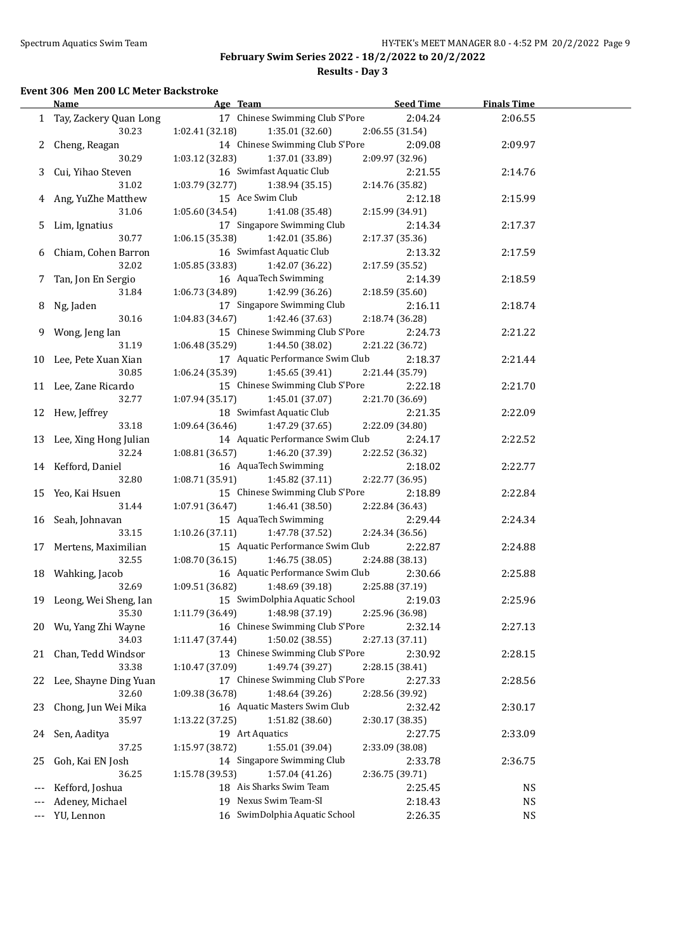**Results - Day 3**

#### **Event 306 Men 200 LC Meter Backstroke**

|       | <b>Name</b>                | Age Team                                                            | <b>Seed Time</b>           | <b>Finals Time</b> |  |
|-------|----------------------------|---------------------------------------------------------------------|----------------------------|--------------------|--|
|       | 1 Tay, Zackery Quan Long   | 17 Chinese Swimming Club S'Pore                                     | 2:04.24                    | 2:06.55            |  |
|       | 30.23                      | 1:02.41 (32.18)<br>1:35.01 (32.60)                                  | 2:06.55 (31.54)            |                    |  |
|       | 2 Cheng, Reagan            | 14 Chinese Swimming Club S'Pore                                     | 2:09.08                    | 2:09.97            |  |
|       | 30.29                      | 1:03.12 (32.83)<br>1:37.01 (33.89)                                  | 2:09.97 (32.96)            |                    |  |
|       | 3 Cui, Yihao Steven        | 16 Swimfast Aquatic Club                                            | 2:21.55                    | 2:14.76            |  |
|       | 31.02                      | 1:03.79 (32.77)<br>1:38.94 (35.15)                                  | 2:14.76 (35.82)            |                    |  |
|       | 4 Ang, YuZhe Matthew       | 15 Ace Swim Club                                                    | 2:12.18                    | 2:15.99            |  |
|       | 31.06                      | 1:41.08 (35.48)<br>1:05.60 (34.54)                                  | 2:15.99 (34.91)            |                    |  |
|       | 5 Lim, Ignatius            | 17 Singapore Swimming Club                                          | 2:14.34                    | 2:17.37            |  |
|       | 30.77                      | 1:06.15 (35.38)<br>1:42.01 (35.86)                                  | 2:17.37 (35.36)            |                    |  |
|       | 6 Chiam, Cohen Barron      | 16 Swimfast Aquatic Club                                            | 2:13.32                    | 2:17.59            |  |
|       | 32.02                      | 1:05.85 (33.83)<br>1:42.07 (36.22)                                  | 2:17.59 (35.52)            |                    |  |
|       | 7 Tan, Jon En Sergio       | 16 AquaTech Swimming                                                | 2:14.39                    | 2:18.59            |  |
|       | 31.84                      | 1:06.73 (34.89)<br>1:42.99 (36.26)                                  | 2:18.59 (35.60)            |                    |  |
| 8     | Ng, Jaden                  | 17 Singapore Swimming Club                                          | 2:16.11                    | 2:18.74            |  |
|       | 30.16                      | 1:42.46 (37.63)<br>1:04.83 (34.67)                                  | 2:18.74 (36.28)            |                    |  |
| 9.    | Wong, Jeng Ian             | 15 Chinese Swimming Club S'Pore                                     | 2:24.73                    | 2:21.22            |  |
|       | 31.19                      | 1:06.48 (35.29)<br>1:44.50 (38.02)                                  | 2:21.22 (36.72)            |                    |  |
|       | 10 Lee, Pete Xuan Xian     | 17 Aquatic Performance Swim Club                                    | 2:18.37                    | 2:21.44            |  |
|       | 30.85                      | 1:06.24 (35.39)<br>1:45.65 (39.41)                                  | 2:21.44 (35.79)            |                    |  |
|       | 11 Lee, Zane Ricardo       | 15 Chinese Swimming Club S'Pore                                     | 2:22.18                    | 2:21.70            |  |
|       | 32.77                      | 1:07.94(35.17)<br>1:45.01 (37.07)                                   | 2:21.70 (36.69)            |                    |  |
|       | 12 Hew, Jeffrey            | 18 Swimfast Aquatic Club                                            | 2:21.35                    | 2:22.09            |  |
|       | 33.18                      | 1:09.64(36.46)<br>1:47.29 (37.65)                                   | 2:22.09 (34.80)            |                    |  |
|       | 13 Lee, Xing Hong Julian   | 14 Aquatic Performance Swim Club                                    | 2:24.17                    | 2:22.52            |  |
|       | 32.24                      | 1:46.20 (37.39)<br>1:08.81(36.57)                                   | 2:22.52 (36.32)            |                    |  |
|       | 14 Kefford, Daniel         | 16 AquaTech Swimming                                                | 2:18.02                    | 2:22.77            |  |
|       | 32.80                      | 1:08.71(35.91)<br>1:45.82 (37.11)                                   | 2:22.77 (36.95)            |                    |  |
|       | 15 Yeo, Kai Hsuen          | 15 Chinese Swimming Club S'Pore                                     | 2:18.89                    | 2:22.84            |  |
|       | 31.44                      | 1:07.91(36.47)<br>1:46.41 (38.50)                                   | 2:22.84 (36.43)            |                    |  |
|       | 16 Seah, Johnavan          | 15 AquaTech Swimming                                                | 2:29.44                    | 2:24.34            |  |
|       | 33.15                      | 1:10.26(37.11)<br>1:47.78 (37.52)                                   | 2:24.34 (36.56)            |                    |  |
|       | 17 Mertens, Maximilian     | 15 Aquatic Performance Swim Club                                    | 2:22.87                    | 2:24.88            |  |
|       | 32.55                      | 1:46.75 (38.05)<br>1:08.70(36.15)                                   | 2:24.88 (38.13)            |                    |  |
|       | 18 Wahking, Jacob<br>32.69 | 16 Aquatic Performance Swim Club                                    | 2:30.66<br>2:25.88 (37.19) | 2:25.88            |  |
|       | 19 Leong, Wei Sheng, Ian   | 1:09.51 (36.82)<br>1:48.69 (39.18)<br>15 SwimDolphia Aquatic School | 2:19.03                    | 2:25.96            |  |
|       | 35.30                      | 1:48.98 (37.19)<br>1:11.79 (36.49)                                  | 2:25.96 (36.98)            |                    |  |
| 20    | Wu, Yang Zhi Wayne         | 16 Chinese Swimming Club S'Pore                                     | 2:32.14                    | 2:27.13            |  |
|       | 34.03                      | 1:50.02 (38.55)<br>1:11.47 (37.44)                                  | 2:27.13 (37.11)            |                    |  |
| 21    | Chan, Tedd Windsor         | 13 Chinese Swimming Club S'Pore                                     | 2:30.92                    | 2:28.15            |  |
|       | 33.38                      | 1:10.47 (37.09)<br>1:49.74 (39.27)                                  | 2:28.15 (38.41)            |                    |  |
| 22    | Lee, Shayne Ding Yuan      | 17 Chinese Swimming Club S'Pore                                     | 2:27.33                    | 2:28.56            |  |
|       | 32.60                      | 1:09.38 (36.78)<br>1:48.64 (39.26)                                  | 2:28.56 (39.92)            |                    |  |
| 23    | Chong, Jun Wei Mika        | 16 Aquatic Masters Swim Club                                        | 2:32.42                    | 2:30.17            |  |
|       | 35.97                      | 1:51.82 (38.60)<br>1:13.22 (37.25)                                  | 2:30.17 (38.35)            |                    |  |
| 24    | Sen, Aaditya               | 19 Art Aquatics                                                     | 2:27.75                    | 2:33.09            |  |
|       | 37.25                      | 1:55.01 (39.04)<br>1:15.97 (38.72)                                  | 2:33.09 (38.08)            |                    |  |
| 25    | Goh, Kai EN Josh           | 14 Singapore Swimming Club                                          | 2:33.78                    | 2:36.75            |  |
|       | 36.25                      | 1:15.78 (39.53)<br>1:57.04 (41.26)                                  | 2:36.75 (39.71)            |                    |  |
| $---$ | Kefford, Joshua            | 18 Ais Sharks Swim Team                                             | 2:25.45                    | <b>NS</b>          |  |
|       | Adeney, Michael            | 19 Nexus Swim Team-SI                                               | 2:18.43                    | <b>NS</b>          |  |
| $---$ | YU, Lennon                 | 16 SwimDolphia Aquatic School                                       | 2:26.35                    | <b>NS</b>          |  |
|       |                            |                                                                     |                            |                    |  |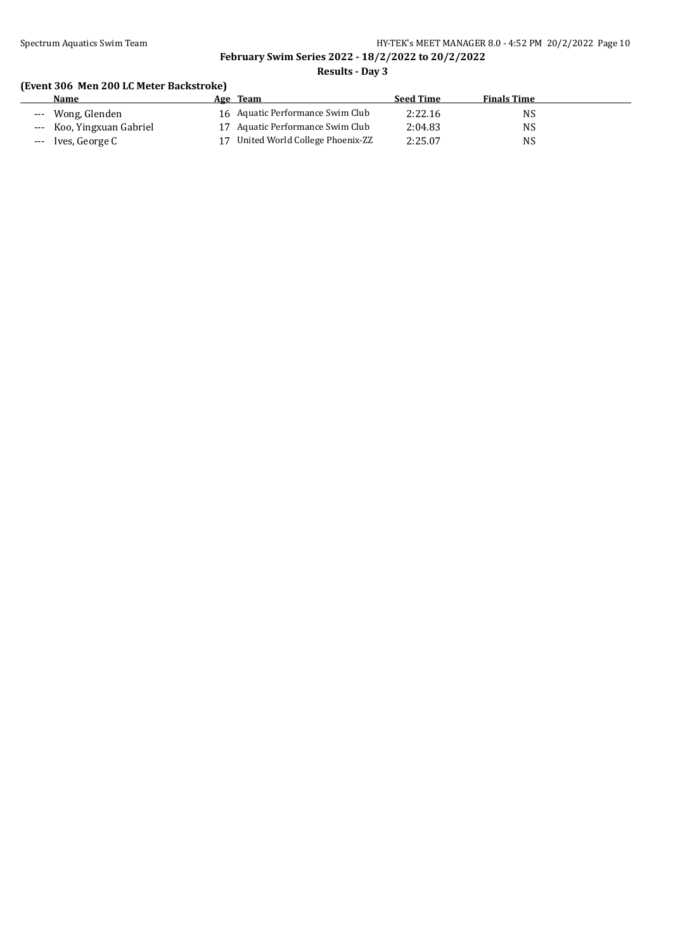# Spectrum Aquatics Swim Team **HY-TEK's MEET MANAGER 8.0 - 4:52 PM 20/2/2022** Page 10 **February Swim Series 2022 - 18/2/2022 to 20/2/2022**

**Results - Day 3**

# **(Event 306 Men 200 LC Meter Backstroke)**

| <b>Name</b>               | Team<br>Age                        | <b>Seed Time</b> | <b>Finals Time</b> |  |
|---------------------------|------------------------------------|------------------|--------------------|--|
| --- Wong, Glenden         | 16 Aquatic Performance Swim Club   | 2:22.16          | NS                 |  |
| --- Koo, Yingxuan Gabriel | 17 Aquatic Performance Swim Club   | 2:04.83          | NS                 |  |
| --- Ives, George C        | 17 United World College Phoenix-ZZ | 2:25.07          | NS                 |  |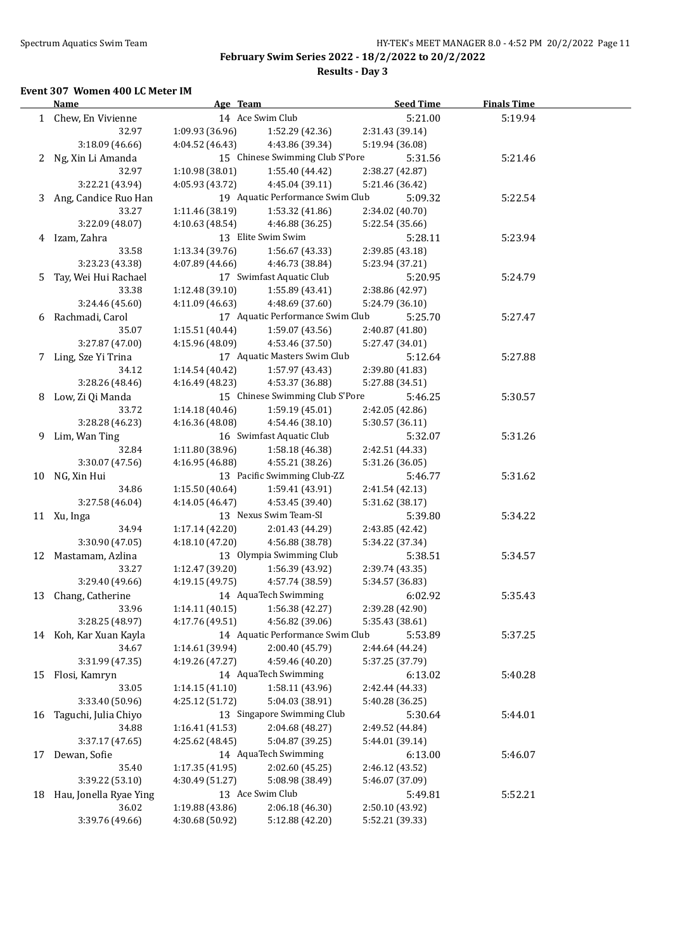# **Results - Day 3**

#### **Event 307 Women 400 LC Meter IM**

|    | <b>Name</b>              | Age Team        |                                    | <b>Seed Time</b>                   | <b>Finals Time</b> |  |
|----|--------------------------|-----------------|------------------------------------|------------------------------------|--------------------|--|
|    | 1 Chew, En Vivienne      |                 | 14 Ace Swim Club                   | 5:21.00                            | 5:19.94            |  |
|    | 32.97                    | 1:09.93(36.96)  | 1:52.29 (42.36)                    | 2:31.43 (39.14)                    |                    |  |
|    | 3:18.09 (46.66)          | 4:04.52 (46.43) | 4:43.86 (39.34)                    | 5:19.94 (36.08)                    |                    |  |
|    | 2 Ng, Xin Li Amanda      |                 | 15 Chinese Swimming Club S'Pore    | 5:31.56                            | 5:21.46            |  |
|    | 32.97                    | 1:10.98(38.01)  | 1:55.40 (44.42)                    | 2:38.27 (42.87)                    |                    |  |
|    | 3:22.21 (43.94)          | 4:05.93 (43.72) | 4:45.04 (39.11)                    | 5:21.46 (36.42)                    |                    |  |
|    | 3 Ang, Candice Ruo Han   |                 | 19 Aquatic Performance Swim Club   | 5:09.32                            | 5:22.54            |  |
|    | 33.27                    | 1:11.46 (38.19) | 1:53.32 (41.86)                    | 2:34.02 (40.70)                    |                    |  |
|    | 3:22.09 (48.07)          | 4:10.63 (48.54) | 4:46.88 (36.25)                    | 5:22.54 (35.66)                    |                    |  |
|    | 4 Izam, Zahra            |                 | 13 Elite Swim Swim                 | 5:28.11                            | 5:23.94            |  |
|    | 33.58                    | 1:13.34(39.76)  | 1:56.67 (43.33)                    | 2:39.85 (43.18)                    |                    |  |
|    | 3:23.23 (43.38)          | 4:07.89 (44.66) | 4:46.73 (38.84)                    | 5:23.94 (37.21)                    |                    |  |
|    | 5 Tay, Wei Hui Rachael   |                 | 17 Swimfast Aquatic Club           | 5:20.95                            | 5:24.79            |  |
|    | 33.38                    | 1:12.48(39.10)  | 1:55.89 (43.41)                    | 2:38.86 (42.97)                    |                    |  |
|    | 3:24.46 (45.60)          | 4:11.09 (46.63) | 4:48.69 (37.60)                    | 5:24.79 (36.10)                    |                    |  |
|    | 6 Rachmadi, Carol        |                 | 17 Aquatic Performance Swim Club   | 5:25.70                            | 5:27.47            |  |
|    | 35.07                    | 1:15.51(40.44)  | 1:59.07 (43.56)                    | 2:40.87 (41.80)                    |                    |  |
|    | 3:27.87 (47.00)          | 4:15.96 (48.09) | 4:53.46 (37.50)                    | 5:27.47 (34.01)                    |                    |  |
|    | 7 Ling, Sze Yi Trina     |                 | 17 Aquatic Masters Swim Club       | 5:12.64                            | 5:27.88            |  |
|    | 34.12                    | 1:14.54 (40.42) | 1:57.97 (43.43)                    | 2:39.80 (41.83)                    |                    |  |
|    | 3:28.26 (48.46)          | 4:16.49 (48.23) | 4:53.37 (36.88)                    | 5:27.88 (34.51)                    |                    |  |
|    | 8 Low, Zi Qi Manda       |                 | 15 Chinese Swimming Club S'Pore    | 5:46.25                            | 5:30.57            |  |
|    | 33.72                    | 1:14.18(40.46)  | 1:59.19(45.01)                     | 2:42.05 (42.86)                    |                    |  |
|    | 3:28.28 (46.23)          | 4:16.36 (48.08) | 4:54.46 (38.10)                    | 5:30.57 (36.11)                    |                    |  |
|    | 9 Lim, Wan Ting          |                 | 16 Swimfast Aquatic Club           | 5:32.07                            | 5:31.26            |  |
|    | 32.84                    | 1:11.80 (38.96) | 1:58.18 (46.38)                    | 2:42.51 (44.33)                    |                    |  |
|    | 3:30.07 (47.56)          | 4:16.95 (46.88) | 4:55.21 (38.26)                    | 5:31.26 (36.05)                    |                    |  |
|    | 10 NG, Xin Hui           |                 | 13 Pacific Swimming Club-ZZ        | 5:46.77                            | 5:31.62            |  |
|    | 34.86                    | 1:15.50(40.64)  | 1:59.41 (43.91)                    | 2:41.54 (42.13)                    |                    |  |
|    | 3:27.58 (46.04)          | 4:14.05(46.47)  | 4:53.45 (39.40)                    | 5:31.62 (38.17)                    |                    |  |
|    | 11 Xu, Inga              |                 | 13 Nexus Swim Team-SI              | 5:39.80                            | 5:34.22            |  |
|    | 34.94                    | 1:17.14(42.20)  | 2:01.43 (44.29)                    | 2:43.85 (42.42)                    |                    |  |
|    | 3:30.90 (47.05)          | 4:18.10 (47.20) | 4:56.88 (38.78)                    | 5:34.22 (37.34)                    |                    |  |
|    | 12 Mastamam, Azlina      |                 | 13 Olympia Swimming Club           | 5:38.51                            |                    |  |
|    | 33.27                    | 1:12.47 (39.20) |                                    |                                    | 5:34.57            |  |
|    | 3:29.40 (49.66)          | 4:19.15(49.75)  | 1:56.39 (43.92)<br>4:57.74 (38.59) | 2:39.74 (43.35)<br>5:34.57 (36.83) |                    |  |
|    | 13 Chang, Catherine      |                 | 14 AquaTech Swimming               | 6:02.92                            | 5:35.43            |  |
|    | 33.96                    |                 | $1:14.11(40.15)$ $1:56.38(42.27)$  | 2:39.28 (42.90)                    |                    |  |
|    | 3:28.25 (48.97)          | 4:17.76 (49.51) | 4:56.82 (39.06)                    | 5:35.43 (38.61)                    |                    |  |
|    | 14 Koh, Kar Xuan Kayla   |                 | 14 Aquatic Performance Swim Club   | 5:53.89                            |                    |  |
|    |                          | 1:14.61 (39.94) |                                    |                                    | 5:37.25            |  |
|    | 34.67<br>3:31.99 (47.35) |                 | 2:00.40 (45.79)                    | 2:44.64 (44.24)                    |                    |  |
|    |                          | 4:19.26 (47.27) | 4:59.46 (40.20)                    | 5:37.25 (37.79)                    |                    |  |
| 15 | Flosi, Kamryn            |                 | 14 AquaTech Swimming               | 6:13.02                            | 5:40.28            |  |
|    | 33.05                    | 1:14.15(41.10)  | 1:58.11 (43.96)                    | 2:42.44 (44.33)                    |                    |  |
|    | 3:33.40 (50.96)          | 4:25.12 (51.72) | 5:04.03 (38.91)                    | 5:40.28 (36.25)                    |                    |  |
| 16 | Taguchi, Julia Chiyo     |                 | 13 Singapore Swimming Club         | 5:30.64                            | 5:44.01            |  |
|    | 34.88                    | 1:16.41 (41.53) | 2:04.68 (48.27)                    | 2:49.52 (44.84)                    |                    |  |
|    | 3:37.17 (47.65)          | 4:25.62 (48.45) | 5:04.87 (39.25)                    | 5:44.01 (39.14)                    |                    |  |
| 17 | Dewan, Sofie             |                 | 14 AquaTech Swimming               | 6:13.00                            | 5:46.07            |  |
|    | 35.40                    | 1:17.35 (41.95) | 2:02.60 (45.25)                    | 2:46.12 (43.52)                    |                    |  |
|    | 3:39.22 (53.10)          | 4:30.49 (51.27) | 5:08.98 (38.49)                    | 5:46.07 (37.09)                    |                    |  |
| 18 | Hau, Jonella Ryae Ying   |                 | 13 Ace Swim Club                   | 5:49.81                            | 5:52.21            |  |
|    | 36.02                    | 1:19.88 (43.86) | 2:06.18 (46.30)                    | 2:50.10 (43.92)                    |                    |  |
|    | 3:39.76 (49.66)          | 4:30.68 (50.92) | 5:12.88 (42.20)                    | 5:52.21 (39.33)                    |                    |  |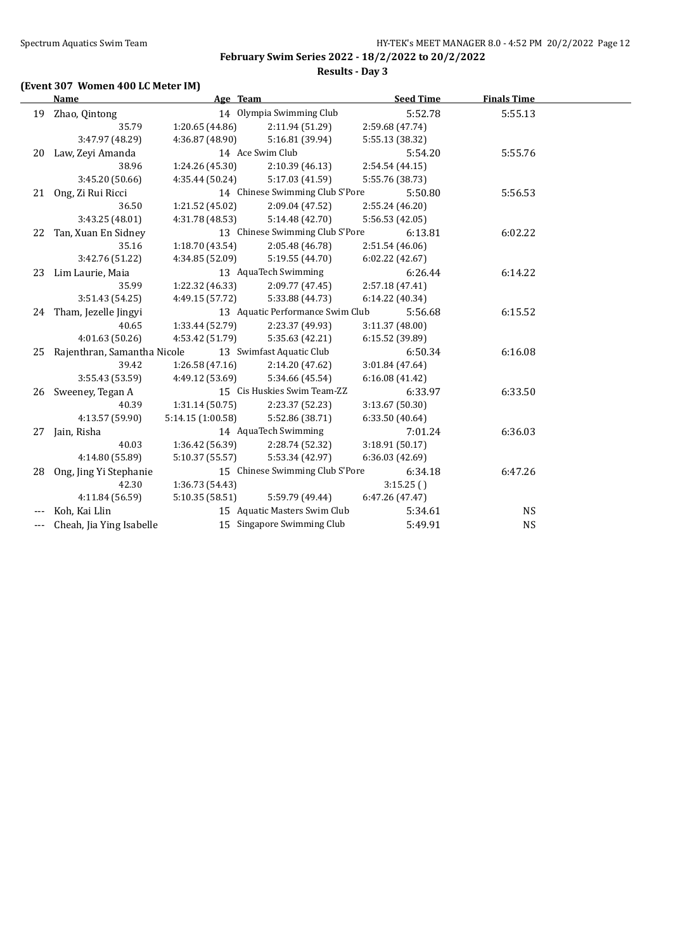# **(Event 307 Women 400 LC Meter IM)**

|     | Name                        | Age Team          |                                  | <b>Seed Time</b> | <b>Finals Time</b> |  |
|-----|-----------------------------|-------------------|----------------------------------|------------------|--------------------|--|
|     | 19 Zhao, Qintong            |                   | 14 Olympia Swimming Club         | 5:52.78          | 5:55.13            |  |
|     | 35.79                       | 1:20.65 (44.86)   | 2:11.94 (51.29)                  | 2:59.68 (47.74)  |                    |  |
|     | 3:47.97 (48.29)             | 4:36.87 (48.90)   | 5:16.81 (39.94)                  | 5:55.13 (38.32)  |                    |  |
| 20  | Law, Zeyi Amanda            |                   | 14 Ace Swim Club                 | 5:54.20          | 5:55.76            |  |
|     | 38.96                       | 1:24.26 (45.30)   | 2:10.39(46.13)                   | 2:54.54 (44.15)  |                    |  |
|     | 3:45.20 (50.66)             | 4:35.44 (50.24)   | 5:17.03 (41.59)                  | 5:55.76 (38.73)  |                    |  |
| 21  | Ong, Zi Rui Ricci           |                   | 14 Chinese Swimming Club S'Pore  | 5:50.80          | 5:56.53            |  |
|     | 36.50                       | 1:21.52 (45.02)   | 2:09.04 (47.52)                  | 2:55.24 (46.20)  |                    |  |
|     | 3:43.25 (48.01)             | 4:31.78 (48.53)   | 5:14.48 (42.70)                  | 5:56.53 (42.05)  |                    |  |
| 22  | Tan, Xuan En Sidney         |                   | 13 Chinese Swimming Club S'Pore  | 6:13.81          | 6:02.22            |  |
|     | 35.16                       | 1:18.70(43.54)    | 2:05.48 (46.78)                  | 2:51.54 (46.06)  |                    |  |
|     | 3:42.76 (51.22)             | 4:34.85 (52.09)   | 5:19.55 (44.70)                  | 6:02.22 (42.67)  |                    |  |
| 23  | Lim Laurie, Maia            |                   | 13 AquaTech Swimming             | 6:26.44          | 6:14.22            |  |
|     | 35.99                       | 1:22.32 (46.33)   | 2:09.77 (47.45)                  | 2:57.18 (47.41)  |                    |  |
|     | 3:51.43 (54.25)             | 4:49.15 (57.72)   | 5:33.88 (44.73)                  | 6:14.22 (40.34)  |                    |  |
|     | 24 Tham, Jezelle Jingyi     |                   | 13 Aquatic Performance Swim Club | 5:56.68          | 6:15.52            |  |
|     | 40.65                       | 1:33.44 (52.79)   | 2:23.37 (49.93)                  | 3:11.37(48.00)   |                    |  |
|     | 4:01.63 (50.26)             | 4:53.42 (51.79)   | 5:35.63 (42.21)                  | 6:15.52 (39.89)  |                    |  |
| 25  | Rajenthran, Samantha Nicole |                   | 13 Swimfast Aquatic Club         | 6:50.34          | 6:16.08            |  |
|     | 39.42                       | 1:26.58(47.16)    | 2:14.20 (47.62)                  | 3:01.84 (47.64)  |                    |  |
|     | 3:55.43 (53.59)             | 4:49.12 (53.69)   | 5:34.66 (45.54)                  | 6:16.08 (41.42)  |                    |  |
| 26  | Sweeney, Tegan A            |                   | 15 Cis Huskies Swim Team-ZZ      | 6:33.97          | 6:33.50            |  |
|     | 40.39                       | 1:31.14(50.75)    | 2:23.37 (52.23)                  | 3:13.67 (50.30)  |                    |  |
|     | 4:13.57 (59.90)             | 5:14.15 (1:00.58) | 5:52.86 (38.71)                  | 6:33.50 (40.64)  |                    |  |
| 27  | Jain, Risha                 |                   | 14 AquaTech Swimming             | 7:01.24          | 6:36.03            |  |
|     | 40.03                       | 1:36.42 (56.39)   | 2:28.74 (52.32)                  | 3:18.91(50.17)   |                    |  |
|     | 4:14.80 (55.89)             | 5:10.37(55.57)    | 5:53.34 (42.97)                  | 6:36.03(42.69)   |                    |  |
| 28  | Ong, Jing Yi Stephanie      |                   | 15 Chinese Swimming Club S'Pore  | 6:34.18          | 6:47.26            |  |
|     | 42.30                       | 1:36.73 (54.43)   |                                  | 3:15.25()        |                    |  |
|     | 4:11.84 (56.59)             | 5:10.35 (58.51)   | 5:59.79 (49.44)                  | 6:47.26 (47.47)  |                    |  |
|     | Koh, Kai Llin               |                   | 15 Aquatic Masters Swim Club     | 5:34.61          | <b>NS</b>          |  |
| --- | Cheah, Jia Ying Isabelle    |                   | 15 Singapore Swimming Club       | 5:49.91          | <b>NS</b>          |  |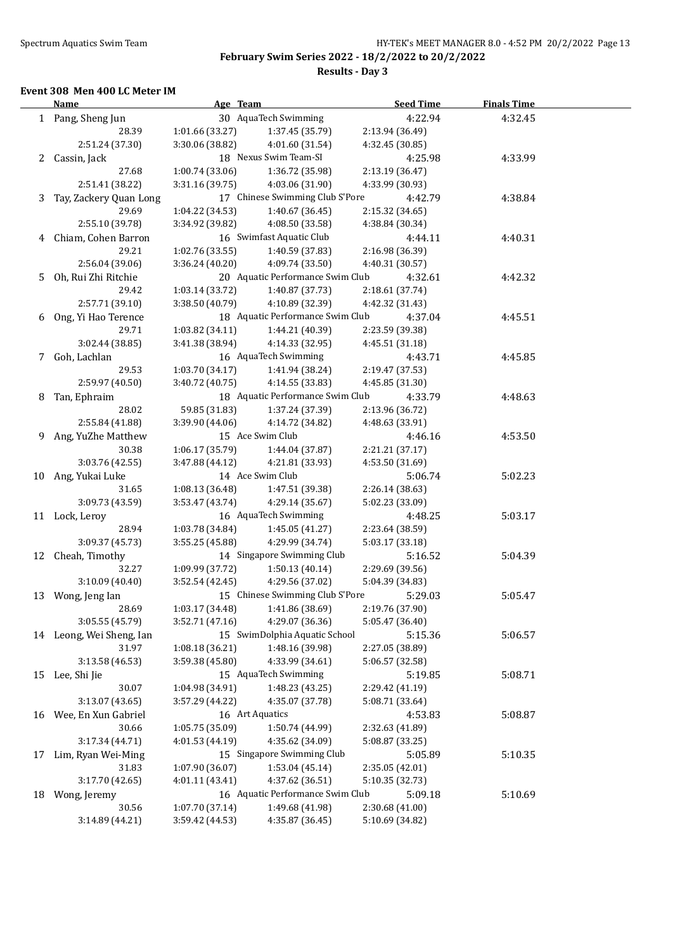**Results - Day 3**

#### **Event 308 Men 400 LC Meter IM**

|    | <u>Name</u>                               | Age Team                                    |                                             | <b>Seed Time</b> | <b>Finals Time</b> |  |
|----|-------------------------------------------|---------------------------------------------|---------------------------------------------|------------------|--------------------|--|
|    | 30 AquaTech Swimming<br>1 Pang, Sheng Jun |                                             | 4:22.94                                     | 4:32.45          |                    |  |
|    | 28.39                                     | 1:01.66(33.27)                              | 1:37.45 (35.79)                             | 2:13.94 (36.49)  |                    |  |
|    | 2:51.24 (37.30)                           | 3:30.06 (38.82)                             | 4:01.60 (31.54)                             | 4:32.45 (30.85)  |                    |  |
|    | 2 Cassin, Jack                            |                                             | 18 Nexus Swim Team-SI                       | 4:25.98          | 4:33.99            |  |
|    | 27.68                                     | 1:00.74(33.06)                              | 1:36.72 (35.98)                             | 2:13.19 (36.47)  |                    |  |
|    | 2:51.41 (38.22)                           | 3:31.16 (39.75)                             | 4:03.06 (31.90)                             | 4:33.99 (30.93)  |                    |  |
| 3  | Tay, Zackery Quan Long                    |                                             | 17 Chinese Swimming Club S'Pore             | 4:42.79          | 4:38.84            |  |
|    | 29.69                                     | 1:04.22 (34.53)                             | 1:40.67 (36.45)                             | 2:15.32 (34.65)  |                    |  |
|    | 2:55.10 (39.78)                           | 3:34.92 (39.82)                             | 4:08.50 (33.58)                             | 4:38.84 (30.34)  |                    |  |
|    | 4 Chiam, Cohen Barron                     |                                             | 16 Swimfast Aquatic Club                    | 4:44.11          | 4:40.31            |  |
|    | 29.21                                     | 1:02.76(33.55)                              | 1:40.59 (37.83)                             | 2:16.98 (36.39)  |                    |  |
|    | 2:56.04 (39.06)                           | 3:36.24(40.20)                              | 4:09.74 (33.50)                             | 4:40.31 (30.57)  |                    |  |
| 5. | Oh, Rui Zhi Ritchie                       |                                             | 20 Aquatic Performance Swim Club            | 4:32.61          | 4:42.32            |  |
|    | 29.42                                     | 1:03.14(33.72)                              | 1:40.87 (37.73)                             | 2:18.61 (37.74)  |                    |  |
|    | 2:57.71 (39.10)                           | 3:38.50 (40.79)                             | 4:10.89 (32.39)                             | 4:42.32 (31.43)  |                    |  |
|    | 6 Ong, Yi Hao Terence                     |                                             | 18 Aquatic Performance Swim Club<br>4:37.04 |                  |                    |  |
|    | 29.71                                     | 1:03.82(34.11)                              | 1:44.21 (40.39)                             | 2:23.59 (39.38)  | 4:45.51            |  |
|    | 3:02.44 (38.85)                           | 3:41.38 (38.94)                             | 4:14.33 (32.95)                             | 4:45.51 (31.18)  |                    |  |
|    | 7 Goh, Lachlan                            |                                             | 16 AquaTech Swimming                        | 4:43.71          | 4:45.85            |  |
|    | 29.53                                     | 1:03.70 (34.17)                             | 1:41.94 (38.24)                             | 2:19.47 (37.53)  |                    |  |
|    | 2:59.97 (40.50)                           | 3:40.72 (40.75)                             | 4:14.55 (33.83)                             | 4:45.85 (31.30)  |                    |  |
| 8  | Tan, Ephraim                              |                                             | 18 Aquatic Performance Swim Club            | 4:33.79          | 4:48.63            |  |
|    | 28.02                                     | 59.85 (31.83)                               | 1:37.24 (37.39)                             | 2:13.96 (36.72)  |                    |  |
|    | 2:55.84 (41.88)                           | 3:39.90 (44.06)                             | 4:14.72 (34.82)                             | 4:48.63 (33.91)  |                    |  |
| 9. | Ang, YuZhe Matthew                        | 15 Ace Swim Club                            |                                             | 4:46.16          | 4:53.50            |  |
|    | 30.38                                     | 1:06.17 (35.79)                             | 1:44.04 (37.87)                             | 2:21.21 (37.17)  |                    |  |
|    | 3:03.76 (42.55)                           | 3:47.88 (44.12)                             | 4:21.81 (33.93)                             | 4:53.50 (31.69)  |                    |  |
|    | 10 Ang, Yukai Luke                        |                                             | 14 Ace Swim Club                            | 5:06.74          | 5:02.23            |  |
|    | 31.65                                     | 1:08.13 (36.48)                             | 1:47.51 (39.38)                             | 2:26.14 (38.63)  |                    |  |
|    | 3:09.73 (43.59)                           | 3:53.47 (43.74)                             | 4:29.14 (35.67)                             | 5:02.23 (33.09)  |                    |  |
|    | 11 Lock, Leroy                            |                                             | 16 AquaTech Swimming                        | 4:48.25          | 5:03.17            |  |
|    | 28.94                                     | 1:03.78 (34.84)                             | 1:45.05 (41.27)                             | 2:23.64 (38.59)  |                    |  |
|    | 3:09.37 (45.73)                           | 3:55.25(45.88)                              | 4:29.99 (34.74)                             | 5:03.17 (33.18)  |                    |  |
|    | 12 Cheah, Timothy                         |                                             | 14 Singapore Swimming Club                  | 5:16.52          | 5:04.39            |  |
|    | 32.27                                     | 1:09.99 (37.72)                             | 1:50.13 (40.14)                             | 2:29.69 (39.56)  |                    |  |
|    | 3:10.09(40.40)                            | 3:52.54(42.45)                              | 4:29.56 (37.02)                             | 5:04.39 (34.83)  |                    |  |
|    | 13 Wong, Jeng Ian                         |                                             | 15 Chinese Swimming Club S'Pore             | 5:29.03          | 5:05.47            |  |
|    | 28.69                                     |                                             | $1:03.17(34.48)$ $1:41.86(38.69)$           | 2:19.76 (37.90)  |                    |  |
|    | 3:05.55 (45.79)                           | 3:52.71 (47.16)                             | 4:29.07 (36.36)                             | 5:05.47 (36.40)  |                    |  |
|    | 14 Leong, Wei Sheng, Ian                  |                                             | 15 SwimDolphia Aquatic School               | 5:15.36          | 5:06.57            |  |
|    | 31.97                                     | 1:08.18(36.21)                              | 1:48.16 (39.98)                             | 2:27.05 (38.89)  |                    |  |
|    | 3:13.58 (46.53)                           | 3:59.38 (45.80)                             | 4:33.99 (34.61)                             | 5:06.57 (32.58)  |                    |  |
| 15 | Lee, Shi Jie                              |                                             | 15 AquaTech Swimming                        | 5:19.85          | 5:08.71            |  |
|    | 30.07                                     | 1:04.98 (34.91)                             | 1:48.23 (43.25)                             | 2:29.42 (41.19)  |                    |  |
|    | 3:13.07(43.65)                            | 3:57.29 (44.22)                             | 4:35.07 (37.78)                             | 5:08.71 (33.64)  |                    |  |
| 16 | Wee, En Xun Gabriel                       |                                             | 16 Art Aquatics                             | 4:53.83          | 5:08.87            |  |
|    | 30.66                                     | 1:05.75 (35.09)                             | 1:50.74 (44.99)                             | 2:32.63 (41.89)  |                    |  |
|    | 3:17.34 (44.71)                           | 4:01.53 (44.19)                             | 4:35.62 (34.09)                             | 5:08.87 (33.25)  |                    |  |
| 17 | Lim, Ryan Wei-Ming                        |                                             | 15 Singapore Swimming Club                  | 5:05.89          | 5:10.35            |  |
|    | 31.83                                     | 1:07.90 (36.07)                             | 1:53.04 (45.14)                             | 2:35.05 (42.01)  |                    |  |
|    | 3:17.70 (42.65)                           | 4:01.11 (43.41)                             | 4:37.62 (36.51)                             | 5:10.35 (32.73)  |                    |  |
| 18 | Wong, Jeremy                              | 16 Aquatic Performance Swim Club<br>5:09.18 |                                             |                  | 5:10.69            |  |
|    | 30.56                                     | 1:07.70 (37.14)                             | 1:49.68 (41.98)                             | 2:30.68 (41.00)  |                    |  |
|    | 3:14.89 (44.21)                           | 3:59.42 (44.53)                             | 4:35.87 (36.45)                             | 5:10.69 (34.82)  |                    |  |
|    |                                           |                                             |                                             |                  |                    |  |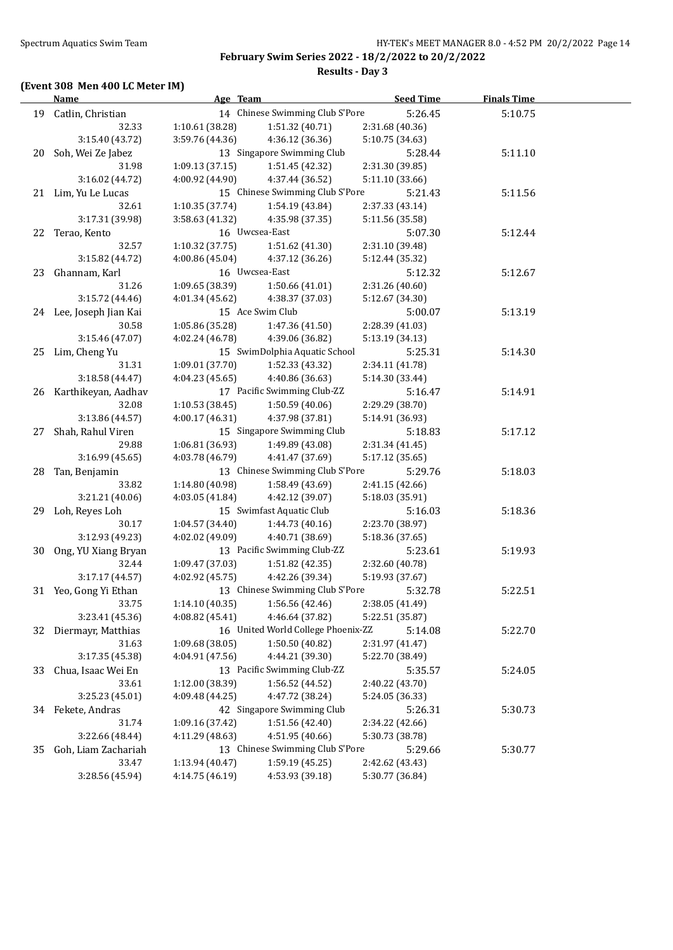# **(Event 308 Men 400 LC Meter IM)**

**Results - Day 3**

|    | <b>Name</b>                                     | Age Team                                   |                                    | <b>Seed Time</b> | <b>Finals Time</b> |  |
|----|-------------------------------------------------|--------------------------------------------|------------------------------------|------------------|--------------------|--|
|    | 19 Catlin, Christian                            |                                            | 14 Chinese Swimming Club S'Pore    | 5:26.45          | 5:10.75            |  |
|    | 32.33                                           | 1:10.61(38.28)                             | 1:51.32 (40.71)                    | 2:31.68 (40.36)  |                    |  |
|    | 3:15.40 (43.72)                                 | 3:59.76 (44.36)                            | 4:36.12 (36.36)                    | 5:10.75 (34.63)  |                    |  |
| 20 | 13 Singapore Swimming Club<br>Soh, Wei Ze Jabez |                                            |                                    | 5:28.44          | 5:11.10            |  |
|    | 31.98                                           | 1:09.13(37.15)                             | 1:51.45 (42.32)                    | 2:31.30 (39.85)  |                    |  |
|    | 3:16.02 (44.72)                                 | 4:00.92 (44.90)                            | 4:37.44 (36.52)                    | 5:11.10 (33.66)  |                    |  |
|    | 21 Lim, Yu Le Lucas                             | 15 Chinese Swimming Club S'Pore            |                                    | 5:21.43          | 5:11.56            |  |
|    | 32.61                                           | 1:10.35(37.74)                             | 1:54.19 (43.84)                    | 2:37.33 (43.14)  |                    |  |
|    | 3:17.31 (39.98)                                 | 3:58.63 (41.32)                            | 4:35.98 (37.35)                    | 5:11.56 (35.58)  |                    |  |
|    | 22 Terao, Kento                                 | 16 Uwcsea-East                             |                                    | 5:07.30          | 5:12.44            |  |
|    | 32.57                                           | 1:10.32(37.75)                             | 1:51.62 (41.30)                    | 2:31.10 (39.48)  |                    |  |
|    | 3:15.82 (44.72)                                 | 4:00.86 (45.04)                            | 4:37.12 (36.26)                    | 5:12.44 (35.32)  |                    |  |
| 23 | Ghannam, Karl                                   |                                            | 16 Uwcsea-East                     |                  | 5:12.67            |  |
|    | 31.26                                           | 1:09.65 (38.39)                            | 1:50.66(41.01)                     | 2:31.26 (40.60)  |                    |  |
|    | 3:15.72 (44.46)                                 | 4:01.34 (45.62)                            | 4:38.37 (37.03)                    | 5:12.67 (34.30)  |                    |  |
|    | 24 Lee, Joseph Jian Kai                         |                                            | 15 Ace Swim Club                   | 5:00.07          | 5:13.19            |  |
|    | 30.58                                           | 1:05.86 (35.28)                            | 1:47.36 (41.50)                    | 2:28.39 (41.03)  |                    |  |
|    | 3:15.46 (47.07)                                 | 4:02.24 (46.78)                            | 4:39.06 (36.82)                    | 5:13.19 (34.13)  |                    |  |
| 25 | Lim, Cheng Yu                                   |                                            | 15 SwimDolphia Aquatic School      | 5:25.31          | 5:14.30            |  |
|    | 31.31                                           | 1:09.01 (37.70)                            | 1:52.33 (43.32)                    | 2:34.11 (41.78)  |                    |  |
|    | 3:18.58 (44.47)                                 | 4:04.23 (45.65)                            | 4:40.86 (36.63)                    | 5:14.30 (33.44)  |                    |  |
|    | 26 Karthikeyan, Aadhav                          |                                            | 17 Pacific Swimming Club-ZZ        | 5:16.47          | 5:14.91            |  |
|    | 32.08                                           | 1:10.53(38.45)                             | 1:50.59 (40.06)                    | 2:29.29 (38.70)  |                    |  |
|    | 3:13.86 (44.57)                                 | 4:00.17 (46.31)                            | 4:37.98 (37.81)                    | 5:14.91 (36.93)  |                    |  |
| 27 | Shah, Rahul Viren                               |                                            | 15 Singapore Swimming Club         | 5:18.83          | 5:17.12            |  |
|    | 29.88                                           | 1:06.81 (36.93)                            | 1:49.89 (43.08)                    | 2:31.34 (41.45)  |                    |  |
|    | 3:16.99(45.65)                                  | 4:03.78 (46.79)                            | 4:41.47 (37.69)                    | 5:17.12 (35.65)  |                    |  |
| 28 | Tan, Benjamin                                   | 13 Chinese Swimming Club S'Pore<br>5:29.76 |                                    |                  | 5:18.03            |  |
|    | 33.82                                           | 1:14.80 (40.98)                            | 1:58.49 (43.69)                    | 2:41.15 (42.66)  |                    |  |
|    | 3:21.21 (40.06)                                 | 4:03.05(41.84)                             | 4:42.12 (39.07)                    | 5:18.03 (35.91)  |                    |  |
| 29 | Loh, Reyes Loh                                  |                                            | 15 Swimfast Aquatic Club           | 5:16.03          | 5:18.36            |  |
|    | 30.17                                           | 1:04.57 (34.40)                            | 1:44.73 (40.16)                    | 2:23.70 (38.97)  |                    |  |
|    | 3:12.93 (49.23)                                 | 4:02.02 (49.09)                            | 4:40.71 (38.69)                    | 5:18.36 (37.65)  |                    |  |
| 30 | Ong, YU Xiang Bryan                             |                                            | 13 Pacific Swimming Club-ZZ        | 5:23.61          | 5:19.93            |  |
|    | 32.44                                           | 1:09.47 (37.03)                            | 1:51.82 (42.35)                    | 2:32.60 (40.78)  |                    |  |
|    | 3:17.17 (44.57)                                 | 4:02.92 (45.75)                            | 4:42.26 (39.34)                    | 5:19.93 (37.67)  |                    |  |
|    | 31 Yeo, Gong Yi Ethan                           | 13 Chinese Swimming Club S'Pore            |                                    | 5:32.78          | 5:22.51            |  |
|    | 33.75                                           | 1:14.10 (40.35)                            | 1:56.56 (42.46)                    | 2:38.05 (41.49)  |                    |  |
|    | 3:23.41 (45.36)                                 | 4:08.82 (45.41)                            | 4:46.64 (37.82)                    | 5:22.51 (35.87)  |                    |  |
| 32 | Diermayr, Matthias                              |                                            | 16 United World College Phoenix-ZZ | 5:14.08          | 5:22.70            |  |
|    | 31.63                                           | 1:09.68 (38.05)                            | 1:50.50 (40.82)                    | 2:31.97 (41.47)  |                    |  |
|    | 3:17.35 (45.38)                                 | 4:04.91 (47.56)                            | 4:44.21 (39.30)                    | 5:22.70 (38.49)  |                    |  |
| 33 | Chua, Isaac Wei En                              |                                            | 13 Pacific Swimming Club-ZZ        | 5:35.57          | 5:24.05            |  |
|    | 33.61                                           | 1:12.00 (38.39)                            | 1:56.52 (44.52)                    | 2:40.22 (43.70)  |                    |  |
|    | 3:25.23 (45.01)                                 | 4:09.48 (44.25)                            | 4:47.72 (38.24)                    | 5:24.05 (36.33)  |                    |  |
| 34 | Fekete, Andras                                  |                                            | 42 Singapore Swimming Club         | 5:26.31          | 5:30.73            |  |
|    | 31.74                                           | 1:09.16 (37.42)                            | 1:51.56 (42.40)                    | 2:34.22 (42.66)  |                    |  |
|    | 3:22.66 (48.44)                                 | 4:11.29 (48.63)                            | 4:51.95 (40.66)                    | 5:30.73 (38.78)  |                    |  |
| 35 | Goh, Liam Zachariah                             | 13 Chinese Swimming Club S'Pore            |                                    | 5:29.66          | 5:30.77            |  |
|    | 33.47                                           | 1:13.94 (40.47)                            | 1:59.19 (45.25)                    | 2:42.62 (43.43)  |                    |  |
|    | 3:28.56 (45.94)                                 | 4:14.75 (46.19)                            | 4:53.93 (39.18)                    | 5:30.77 (36.84)  |                    |  |